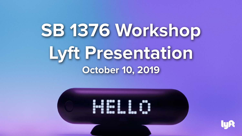# **SB 1376 Workshop Lyft Presentation October 10, 2019**



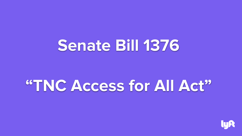## **Senate Bill 1376**

## **"TNC Access for All Act"**

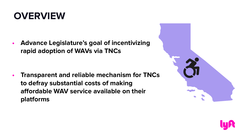### **OVERVIEW**

**• Advance Legislature's goal of incentivizing rapid adoption of WAVs via TNCs**

**• Transparent and reliable mechanism for TNCs to defray substantial costs of making affordable WAV service available on their platforms**



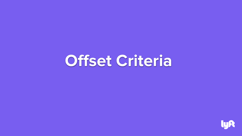# **Offset Criteria**

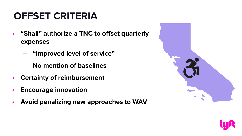### **OFFSET CRITERIA**

- **• "Shall" authorize a TNC to offset quarterly expenses**
	- **‒ "Improved level of service"**
	- **‒ No mention of baselines**
- **• Certainty of reimbursement**
- **• Encourage innovation**
- **• Avoid penalizing new approaches to WAV**



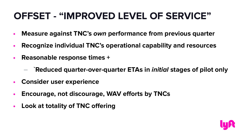### **OFFSET - "IMPROVED LEVEL OF SERVICE"**

- **• Measure against TNC's own performance from previous quarter**
- **• Recognize individual TNC's operational capability and resources**
- **• Reasonable response times +**
	- **‒ `Reduced quarter-over-quarter ETAs in initial stages of pilot only**
- **• Consider user experience**
- **• Encourage, not discourage, WAV efforts by TNCs**
- **• Look at totality of TNC offering**

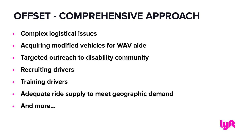### **OFFSET - COMPREHENSIVE APPROACH**

- **• Complex logistical issues**
- **• Acquiring modified vehicles for WAV aide**
- **• Targeted outreach to disability community**
- **• Recruiting drivers**
- **• Training drivers**
- **• Adequate ride supply to meet geographic demand**
- **• And more...**

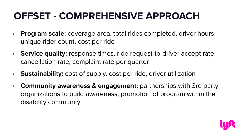### **OFFSET - COMPREHENSIVE APPROACH**

- **• Program scale:** coverage area, total rides completed, driver hours, unique rider count, cost per ride
- **• Service quality:** response times, ride request-to-driver accept rate, cancellation rate, complaint rate per quarter
- **• Sustainability:** cost of supply, cost per ride, driver utilization
- **Community awareness & engagement: partnerships with 3rd party** organizations to build awareness, promotion of program within the disability community

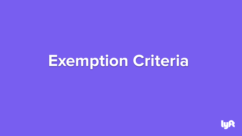## **Exemption Criteria**

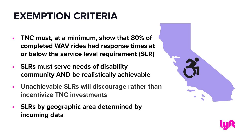### **EXEMPTION CRITERIA**

- **TNC must, at a minimum, show that 80% of completed WAV rides had response times at or below the service level requirement (SLR)**
- **• SLRs must serve needs of disability community AND be realistically achievable**
- **• Unachievable SLRs will discourage rather than incentivize TNC investments**
- **• SLRs by geographic area determined by incoming data**



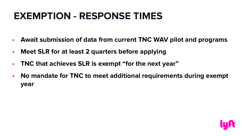### **EXEMPTION - RESPONSE TIMES**

- **• Await submission of data from current TNC WAV pilot and programs**
- **• Meet SLR for at least 2 quarters before applying**
- **• TNC that achieves SLR is exempt "for the next year"**
- **• No mandate for TNC to meet additional requirements during exempt year**

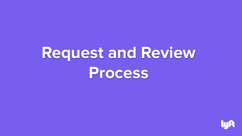# **Request and Review Process**

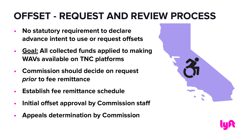### **OFFSET - REQUEST AND REVIEW PROCESS**

- **• No statutory requirement to declare advance intent to use or request offsets**
- **• Goal: All collected funds applied to making WAVs available on TNC platforms**
- **• Commission should decide on request prior to fee remittance**
- **• Establish fee remittance schedule**
- **• Initial offset approval by Commission staff**
- **• Appeals determination by Commission**



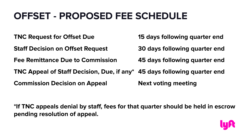### **OFFSET - PROPOSED FEE SCHEDULE**

**TNC Request for Offset Due 15 days following quarter end Staff Decision on Offset Request 30 days following quarter end Fee Remittance Due to Commission 45 days following quarter end TNC Appeal of Staff Decision, Due, if any\* 45 days following quarter end Commission Decision on Appeal Next voting meeting** 

**\*If TNC appeals denial by staff, fees for that quarter should be held in escrow pending resolution of appeal.**

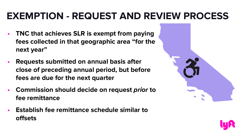### **EXEMPTION - REQUEST AND REVIEW PROCESS**

- **• TNC that achieves SLR is exempt from paying fees collected in that geographic area "for the next year"**
- **• Requests submitted on annual basis after close of preceding annual period, but before fees are due for the next quarter**
- **• Commission should decide on request prior to fee remittance**
- **• Establish fee remittance schedule similar to offsets**



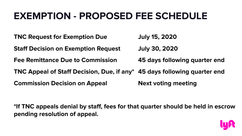### **EXEMPTION - PROPOSED FEE SCHEDULE**

**TNC Request for Exemption Due July 15, 2020 Staff Decision on Exemption Request July 30, 2020 Fee Remittance Due to Commission 45 days following quarter end TNC Appeal of Staff Decision, Due, if any\* 45 days following quarter end Commission Decision on Appeal Next voting meeting** 

**\*If TNC appeals denial by staff, fees for that quarter should be held in escrow pending resolution of appeal.**